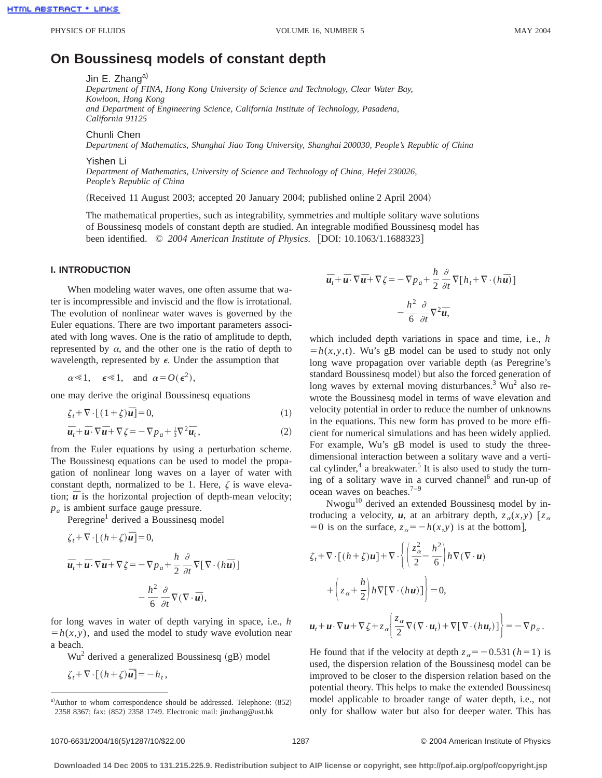# **On Boussinesq models of constant depth**

Jin E. Zhang<sup>a)</sup>

*Department of FINA, Hong Kong University of Science and Technology, Clear Water Bay, Kowloon, Hong Kong and Department of Engineering Science, California Institute of Technology, Pasadena, California 91125*

Chunli Chen

*Department of Mathematics, Shanghai Jiao Tong University, Shanghai 200030, People's Republic of China*

Yishen Li

*Department of Mathematics, University of Science and Technology of China, Hefei 230026, People's Republic of China*

(Received 11 August 2003; accepted 20 January 2004; published online 2 April 2004)

The mathematical properties, such as integrability, symmetries and multiple solitary wave solutions of Boussinesq models of constant depth are studied. An integrable modified Boussinesq model has been identified. © 2004 American Institute of Physics. [DOI: 10.1063/1.1688323]

### **I. INTRODUCTION**

When modeling water waves, one often assume that water is incompressible and inviscid and the flow is irrotational. The evolution of nonlinear water waves is governed by the Euler equations. There are two important parameters associated with long waves. One is the ratio of amplitude to depth, represented by  $\alpha$ , and the other one is the ratio of depth to wavelength, represented by  $\epsilon$ . Under the assumption that

 $\alpha \ll 1$ ,  $\epsilon \ll 1$ , and  $\alpha = O(\epsilon^2)$ ,

one may derive the original Boussinesq equations

$$
\zeta_t + \nabla \cdot [(1+\zeta)\overline{u}] = 0,\tag{1}
$$

$$
\overline{\boldsymbol{u}}_t + \overline{\boldsymbol{u}} \cdot \nabla \overline{\boldsymbol{u}} + \nabla \zeta = -\nabla p_a + \frac{1}{3} \nabla^2 \overline{\boldsymbol{u}}_t,\tag{2}
$$

from the Euler equations by using a perturbation scheme. The Boussinesq equations can be used to model the propagation of nonlinear long waves on a layer of water with constant depth, normalized to be 1. Here,  $\zeta$  is wave elevation;  $\bar{u}$  is the horizontal projection of depth-mean velocity; *pa* is ambient surface gauge pressure.

Peregrine<sup>1</sup> derived a Boussinesq model

$$
\zeta_t + \nabla \cdot \left[ (h + \zeta) \overline{\mathbf{u}} \right] = 0,
$$
  

$$
\overline{\mathbf{u}}_t + \overline{\mathbf{u}} \cdot \nabla \overline{\mathbf{u}} + \nabla \zeta = -\nabla p_a + \frac{h}{2} \frac{\partial}{\partial t} \nabla \left[ \nabla \cdot (h \overline{\mathbf{u}}) \right]
$$
  

$$
- \frac{h^2}{6} \frac{\partial}{\partial t} \nabla (\nabla \cdot \overline{\mathbf{u}}),
$$

for long waves in water of depth varying in space, i.e., *h*  $= h(x, y)$ , and used the model to study wave evolution near a beach.

 $Wu<sup>2</sup>$  derived a generalized Boussinesq (gB) model

$$
\zeta_t + \nabla \cdot \left[ (h + \zeta) \overline{\mathbf{u}} \right] = -h_t,
$$

$$
\overline{u}_t + \overline{u} \cdot \nabla \overline{u} + \nabla \zeta = -\nabla p_a + \frac{h}{2} \frac{\partial}{\partial t} \nabla [h_t + \nabla \cdot (h \overline{u})]
$$

$$
- \frac{h^2}{6} \frac{\partial}{\partial t} \nabla^2 \overline{u},
$$

which included depth variations in space and time, i.e., *h*  $= h(x, y, t)$ . Wu's gB model can be used to study not only long wave propagation over variable depth (as Peregrine's standard Boussinesq model) but also the forced generation of long waves by external moving disturbances.<sup>3</sup> Wu<sup>2</sup> also rewrote the Boussinesq model in terms of wave elevation and velocity potential in order to reduce the number of unknowns in the equations. This new form has proved to be more efficient for numerical simulations and has been widely applied. For example, Wu's gB model is used to study the threedimensional interaction between a solitary wave and a vertical cylinder, $4$  a breakwater.<sup>5</sup> It is also used to study the turning of a solitary wave in a curved channel<sup>6</sup> and run-up of ocean waves on beaches. $7-9$ 

Nwogu10 derived an extended Boussinesq model by introducing a velocity, *u*, at an arbitrary depth,  $z_{\alpha}(x, y)$  [ $z_{\alpha}$  $=0$  is on the surface,  $z_\alpha = -h(x, y)$  is at the bottom],

$$
\zeta_t + \nabla \cdot \left[ (h + \zeta) \mathbf{u} \right] + \nabla \cdot \left\{ \left( \frac{z_\alpha^2}{2} - \frac{h^2}{6} \right) h \nabla (\nabla \cdot \mathbf{u}) \right\} \n+ \left( z_\alpha + \frac{h}{2} \right) h \nabla \left[ \nabla \cdot (h \mathbf{u}) \right] \right\} = 0,
$$
\n
$$
\mathbf{u}_t + \mathbf{u} \cdot \nabla \mathbf{u} + \nabla \zeta + z_\alpha \left\{ \frac{z_\alpha}{2} \nabla (\nabla \cdot \mathbf{u}_t) + \nabla \left[ \nabla \cdot (h \mathbf{u}_t) \right] \right\} = -\nabla p_a.
$$

He found that if the velocity at depth  $z_\alpha = -0.531$  ( $h=1$ ) is used, the dispersion relation of the Boussinesq model can be improved to be closer to the dispersion relation based on the potential theory. This helps to make the extended Boussinesq model applicable to broader range of water depth, i.e., not only for shallow water but also for deeper water. This has

a)Author to whom correspondence should be addressed. Telephone: (852) 2358 8367; fax: (852) 2358 1749. Electronic mail: jinzhang@ust.hk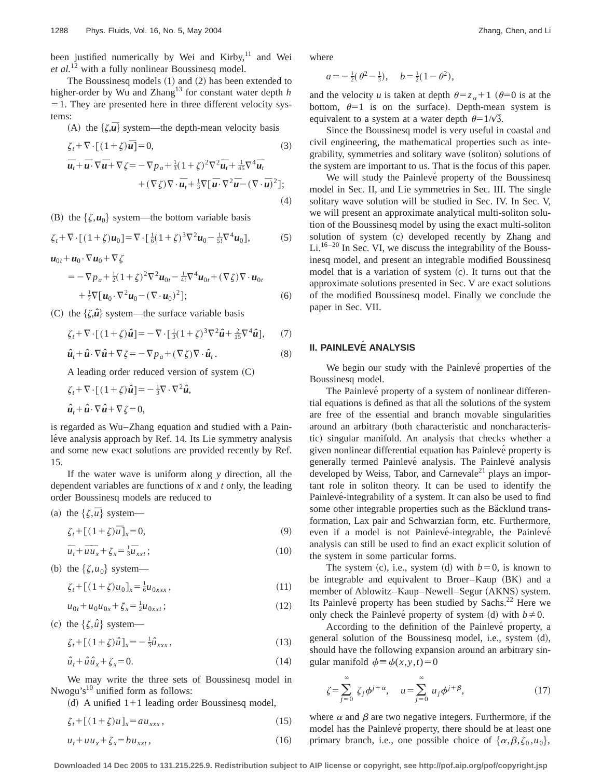been justified numerically by Wei and Kirby, $11$  and Wei *et al.*<sup>12</sup> with a fully nonlinear Boussinesq model.

The Boussinesq models  $(1)$  and  $(2)$  has been extended to higher-order by Wu and Zhang<sup>13</sup> for constant water depth *h*  $=$  1. They are presented here in three different velocity systems:

(A) the  $\{\zeta,\overline{u}\}$  system—the depth-mean velocity basis

$$
\zeta_t + \nabla \cdot \left[ (1 + \zeta) \overline{\mathbf{u}} \right] = 0, \qquad (3)
$$
\n
$$
\overline{\mathbf{u}}_t + \overline{\mathbf{u}} \cdot \nabla \overline{\mathbf{u}} + \nabla \zeta = -\nabla p_a + \frac{1}{3} (1 + \zeta)^2 \nabla^2 \overline{\mathbf{u}}_t + \frac{1}{45} \nabla^4 \overline{\mathbf{u}}_t + (\nabla \zeta) \nabla \cdot \overline{\mathbf{u}}_t + \frac{1}{3} \nabla \left[ \overline{\mathbf{u}} \cdot \nabla^2 \overline{\mathbf{u}} - (\nabla \cdot \overline{\mathbf{u}})^2 \right]; \qquad (4)
$$

(B) the  $\{\zeta, u_0\}$  system—the bottom variable basis

$$
\zeta_t + \nabla \cdot [(1+\zeta)u_0] = \nabla \cdot [\frac{1}{6}(1+\zeta)^3 \nabla^2 u_0 - \frac{1}{5!} \nabla^4 u_0],\tag{5}
$$

 $u_{0t}$ + $u_0$ · $\nabla u_0$ + $\nabla \zeta$ 

$$
= -\nabla p_a + \frac{1}{2} (1+\zeta)^2 \nabla^2 u_{0t} - \frac{1}{4!} \nabla^4 u_{0t} + (\nabla \zeta) \nabla \cdot u_{0t} + \frac{1}{2} \nabla [u_0 \cdot \nabla^2 u_0 - (\nabla \cdot u_0)^2];
$$
 (6)

(C) the  $\{\zeta, \hat{u}\}$  system—the surface variable basis

$$
\zeta_t + \nabla \cdot \left[ (1+\zeta)\hat{\mathbf{u}} \right] = -\nabla \cdot \left[ \frac{1}{3} (1+\zeta)^3 \nabla^2 \hat{\mathbf{u}} + \frac{2}{15} \nabla^4 \hat{\mathbf{u}} \right],\tag{7}
$$

$$
\hat{\mathbf{u}}_t + \hat{\mathbf{u}} \cdot \nabla \hat{\mathbf{u}} + \nabla \zeta = -\nabla p_a + (\nabla \zeta) \nabla \cdot \hat{\mathbf{u}}_t. \tag{8}
$$

A leading order reduced version of system  $(C)$ 

$$
\zeta_t + \nabla \cdot [(1+\zeta)\hat{u}] = -\frac{1}{3}\nabla \cdot \nabla^2 \hat{u},
$$
  

$$
\hat{u}_t + \hat{u} \cdot \nabla \hat{u} + \nabla \zeta = 0,
$$

is regarded as Wu–Zhang equation and studied with a Painléve analysis approach by Ref. 14. Its Lie symmetry analysis and some new exact solutions are provided recently by Ref. 15.

If the water wave is uniform along *y* direction, all the dependent variables are functions of *x* and *t* only, the leading order Boussinesq models are reduced to

(a) the 
$$
\{\zeta,\overline{u}\}
$$
 system—

$$
\zeta_t + \left[ (1+\zeta)\overline{u} \right]_x = 0,\tag{9}
$$

$$
\overline{u}_t + \overline{u}\overline{u}_x + \zeta_x = \frac{1}{3}\overline{u}_{xxt};\tag{10}
$$

(b) the  $\{\zeta, u_0\}$  system—

$$
\zeta_t + [(1+\zeta)u_0]_x = \frac{1}{6}u_{0xxx},\tag{11}
$$

$$
u_{0t} + u_0 u_{0x} + \zeta_x = \frac{1}{2} u_{0xxt};
$$
\n(12)

(c) the  $\{\zeta, \hat{u}\}$  system—

$$
\zeta_t + [(1+\zeta)\hat{u}]_x = -\frac{1}{3}\hat{u}_{xxx},
$$
\n(13)

$$
\hat{u}_t + \hat{u}\hat{u}_x + \zeta_x = 0. \tag{14}
$$

We may write the three sets of Boussinesq model in Nwogu's $^{10}$  unified form as follows:

(d) A unified  $1+1$  leading order Boussinesq model,

$$
\zeta_t + \left[ (1+\zeta)u \right]_x = au_{xxx},\tag{15}
$$

$$
u_t + uu_x + \zeta_x = bu_{xxt},\tag{16}
$$

where

$$
a = -\frac{1}{2}(\theta^2 - \frac{1}{3}), \quad b = \frac{1}{2}(1 - \theta^2),
$$

and the velocity *u* is taken at depth  $\theta = z_\alpha + 1$  ( $\theta = 0$  is at the bottom,  $\theta=1$  is on the surface). Depth-mean system is equivalent to a system at a water depth  $\theta = 1/\sqrt{3}$ .

Since the Boussinesq model is very useful in coastal and civil engineering, the mathematical properties such as integrability, symmetries and solitary wave (soliton) solutions of the system are important to us. That is the focus of this paper.

We will study the Painlevé property of the Boussinesq model in Sec. II, and Lie symmetries in Sec. III. The single solitary wave solution will be studied in Sec. IV. In Sec. V, we will present an approximate analytical multi-soliton solution of the Boussinesq model by using the exact multi-soliton solution of system (c) developed recently by Zhang and  $Li^{16-20}$  In Sec. VI, we discuss the integrability of the Boussinesq model, and present an integrable modified Boussinesq model that is a variation of system  $(c)$ . It turns out that the approximate solutions presented in Sec. V are exact solutions of the modified Boussinesq model. Finally we conclude the paper in Sec. VII.

# **II. PAINLEVE´ ANALYSIS**

We begin our study with the Painlevé properties of the Boussinesq model.

The Painlevé property of a system of nonlinear differential equations is defined as that all the solutions of the system are free of the essential and branch movable singularities around an arbitrary (both characteristic and noncharacteristic) singular manifold. An analysis that checks whether a given nonlinear differential equation has Painlevé property is generally termed Painlevé analysis. The Painlevé analysis developed by Weiss, Tabor, and Carnevale<sup>21</sup> plays an important role in soliton theory. It can be used to identify the Painlevé-integrability of a system. It can also be used to find some other integrable properties such as the Bäcklund transformation, Lax pair and Schwarzian form, etc. Furthermore, even if a model is not Painlevé-integrable, the Painlevé analysis can still be used to find an exact explicit solution of the system in some particular forms.

The system (c), i.e., system (d) with  $b=0$ , is known to be integrable and equivalent to Broer–Kaup  $(BK)$  and a member of Ablowitz–Kaup–Newell–Segur (AKNS) system. Its Painlevé property has been studied by Sachs.<sup>22</sup> Here we only check the Painlevé property of system (d) with  $b \neq 0$ .

According to the definition of the Painlevé property, a general solution of the Boussinesq model, i.e., system (d), should have the following expansion around an arbitrary singular manifold  $\phi = \phi(x, y, t) = 0$ 

$$
\zeta = \sum_{j=0}^{\infty} \zeta_j \phi^{j+\alpha}, \quad u = \sum_{j=0}^{\infty} u_j \phi^{j+\beta}, \tag{17}
$$

where  $\alpha$  and  $\beta$  are two negative integers. Furthermore, if the model has the Painlevé property, there should be at least one primary branch, i.e., one possible choice of  $\{\alpha, \beta, \zeta_0, u_0\}$ ,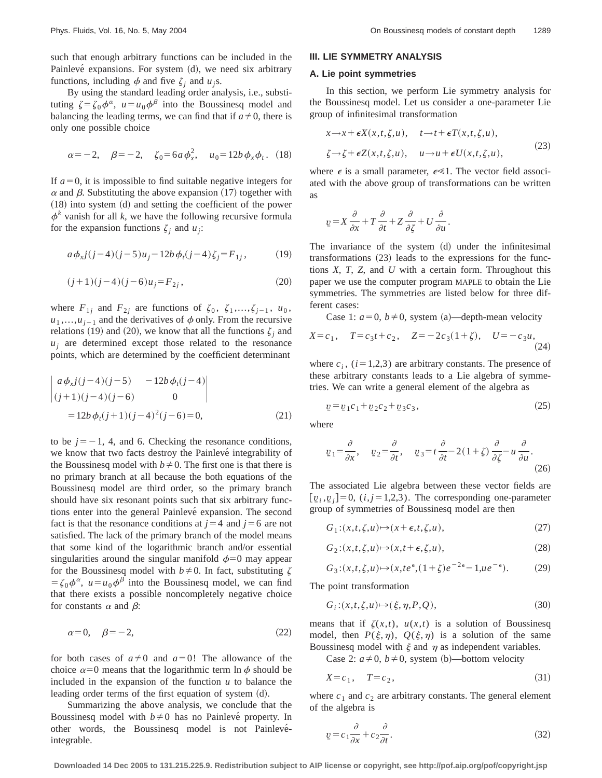such that enough arbitrary functions can be included in the Painlevé expansions. For system  $(d)$ , we need six arbitrary functions, including  $\phi$  and five  $\zeta_i$  and  $u_i$ s.

By using the standard leading order analysis, i.e., substituting  $\zeta = \zeta_0 \phi^\alpha$ ,  $u = u_0 \phi^\beta$  into the Boussinesq model and balancing the leading terms, we can find that if  $a \neq 0$ , there is only one possible choice

$$
\alpha = -2, \quad \beta = -2, \quad \zeta_0 = 6a\phi_x^2, \quad u_0 = 12b\phi_x\phi_t. \quad (18)
$$

If  $a=0$ , it is impossible to find suitable negative integers for  $\alpha$  and  $\beta$ . Substituting the above expansion (17) together with  $(18)$  into system  $(d)$  and setting the coefficient of the power  $\phi^k$  vanish for all *k*, we have the following recursive formula for the expansion functions  $\zeta_i$  and  $u_i$ :

$$
a\phi_{x}j(j-4)(j-5)u_{j}-12b\phi_{t}(j-4)\zeta_{j}=F_{1j}, \qquad (19)
$$

$$
(j+1)(j-4)(j-6)u_j = F_{2j}, \t\t(20)
$$

where  $F_{1j}$  and  $F_{2j}$  are functions of  $\zeta_0$ ,  $\zeta_1, \ldots, \zeta_{j-1}$ ,  $u_0$ ,  $u_1, \ldots, u_{i-1}$  and the derivatives of  $\phi$  only. From the recursive relations (19) and (20), we know that all the functions  $\zeta_i$  and  $u_i$  are determined except those related to the resonance points, which are determined by the coefficient determinant

$$
\begin{vmatrix} a\phi_{x}j(j-4)(j-5) & -12b\phi_{t}(j-4) \ (j+1)(j-4)(j-6) & 0 \end{vmatrix}
$$
  
=  $12b\phi_{t}(j+1)(j-4)^{2}(j-6) = 0,$  (21)

to be  $j=-1$ , 4, and 6. Checking the resonance conditions, we know that two facts destroy the Painlevé integrability of the Boussinesq model with  $b \neq 0$ . The first one is that there is no primary branch at all because the both equations of the Boussinesq model are third order, so the primary branch should have six resonant points such that six arbitrary functions enter into the general Painlevé expansion. The second fact is that the resonance conditions at  $j=4$  and  $j=6$  are not satisfied. The lack of the primary branch of the model means that some kind of the logarithmic branch and/or essential singularities around the singular manifold  $\phi=0$  may appear for the Boussinesq model with  $b \neq 0$ . In fact, substituting  $\zeta$  $= \zeta_0 \phi^\alpha$ ,  $u = u_0 \phi^\beta$  into the Boussinesq model, we can find that there exists a possible noncompletely negative choice for constants  $\alpha$  and  $\beta$ :

$$
\alpha = 0, \quad \beta = -2,\tag{22}
$$

for both cases of  $a \neq 0$  and  $a=0$ ! The allowance of the choice  $\alpha=0$  means that the logarithmic term ln  $\phi$  should be included in the expansion of the function  $u$  to balance the leading order terms of the first equation of system  $(d)$ .

Summarizing the above analysis, we conclude that the Boussinesq model with  $b \neq 0$  has no Painlevé property. In other words, the Boussinesq model is not Painlevéintegrable.

## **III. LIE SYMMETRY ANALYSIS**

#### **A. Lie point symmetries**

In this section, we perform Lie symmetry analysis for the Boussinesq model. Let us consider a one-parameter Lie group of infinitesimal transformation

$$
x \to x + \epsilon X(x, t, \zeta, u), \quad t \to t + \epsilon T(x, t, \zeta, u),
$$
  

$$
\zeta \to \zeta + \epsilon Z(x, t, \zeta, u), \quad u \to u + \epsilon U(x, t, \zeta, u),
$$
 (23)

where  $\epsilon$  is a small parameter,  $\epsilon \ll 1$ . The vector field associated with the above group of transformations can be written as

$$
\underline{v} = X \frac{\partial}{\partial x} + T \frac{\partial}{\partial t} + Z \frac{\partial}{\partial \zeta} + U \frac{\partial}{\partial u}.
$$

The invariance of the system  $(d)$  under the infinitesimal transformations  $(23)$  leads to the expressions for the functions *X*, *T*, *Z*, and *U* with a certain form. Throughout this paper we use the computer program MAPLE to obtain the Lie symmetries. The symmetries are listed below for three different cases:

Case 1:  $a=0$ ,  $b \ne 0$ , system (a)—depth-mean velocity

$$
X = c_1, \quad T = c_3 t + c_2, \quad Z = -2c_3(1 + \zeta), \quad U = -c_3 u,
$$
\n(24)

where  $c_i$ ,  $(i=1,2,3)$  are arbitrary constants. The presence of these arbitrary constants leads to a Lie algebra of symmetries. We can write a general element of the algebra as

$$
\underline{v} = \underline{v}_1 c_1 + \underline{v}_2 c_2 + \underline{v}_3 c_3, \tag{25}
$$

where

$$
\underline{v}_1 = \frac{\partial}{\partial x}, \quad \underline{v}_2 = \frac{\partial}{\partial t}, \quad \underline{v}_3 = t \frac{\partial}{\partial t} - 2(1 + \zeta) \frac{\partial}{\partial \zeta} - u \frac{\partial}{\partial u}.
$$
\n(26)

The associated Lie algebra between these vector fields are  $[\underline{v}_i, \underline{v}_i] = 0$ ,  $(i, j = 1, 2, 3)$ . The corresponding one-parameter group of symmetries of Boussinesq model are then

$$
G_1: (x, t, \zeta, u) \mapsto (x + \epsilon, t, \zeta, u), \tag{27}
$$

$$
G_2:(x,t,\zeta,u)\mapsto(x,t+\epsilon,\zeta,u),\tag{28}
$$

$$
G_3:(x,t,\zeta,u)\mapsto (x,te^{\epsilon},(1+\zeta)e^{-2\epsilon}-1,ue^{-\epsilon}).
$$
 (29)

The point transformation

$$
G_i: (x, t, \zeta, u) \mapsto (\xi, \eta, P, Q), \tag{30}
$$

means that if  $\zeta(x,t)$ ,  $u(x,t)$  is a solution of Boussinesq model, then  $P(\xi,\eta)$ ,  $Q(\xi,\eta)$  is a solution of the same Boussinesq model with  $\xi$  and  $\eta$  as independent variables.

Case 2:  $a \neq 0$ ,  $b \neq 0$ , system (b)—bottom velocity

$$
X = c_1, \quad T = c_2,\tag{31}
$$

where  $c_1$  and  $c_2$  are arbitrary constants. The general element of the algebra is

$$
\underline{v} = c_1 \frac{\partial}{\partial x} + c_2 \frac{\partial}{\partial t}.\tag{32}
$$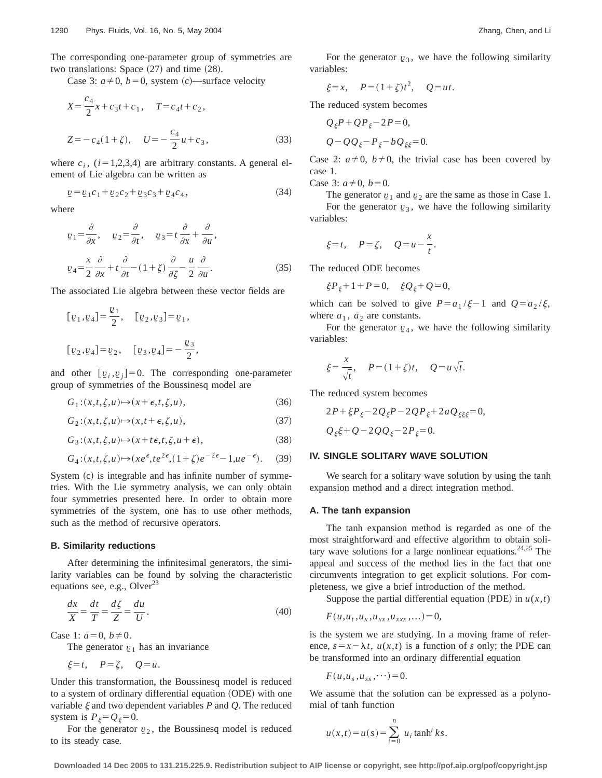The corresponding one-parameter group of symmetries are two translations: Space  $(27)$  and time  $(28)$ .

Case 3:  $a \neq 0$ ,  $b=0$ , system (c)—surface velocity

$$
X = \frac{c_4}{2}x + c_3t + c_1, \quad T = c_4t + c_2,
$$
  

$$
Z = -c_4(1 + \zeta), \quad U = -\frac{c_4}{2}u + c_3,
$$
 (33)

where  $c_i$ ,  $(i=1,2,3,4)$  are arbitrary constants. A general element of Lie algebra can be written as

$$
\underline{v} = \underline{v}_1 c_1 + \underline{v}_2 c_2 + \underline{v}_3 c_3 + \underline{v}_4 c_4, \tag{34}
$$

where

$$
\underline{v}_1 = \frac{\partial}{\partial x}, \quad \underline{v}_2 = \frac{\partial}{\partial t}, \quad \underline{v}_3 = t \frac{\partial}{\partial x} + \frac{\partial}{\partial u},
$$

$$
\underline{v}_4 = \frac{x}{2} \frac{\partial}{\partial x} + t \frac{\partial}{\partial t} - (1 + \zeta) \frac{\partial}{\partial \zeta} - \frac{u}{2} \frac{\partial}{\partial u}.
$$
(35)

The associated Lie algebra between these vector fields are

$$
[v_1, v_4] = \frac{v_1}{2}, \quad [v_2, v_3] = v_1,
$$
  

$$
[v_2, v_4] = v_2, \quad [v_3, v_4] = -\frac{v_3}{2},
$$

and other  $[\underline{v}_i, \underline{v}_i] = 0$ . The corresponding one-parameter group of symmetries of the Boussinesq model are

$$
G_1: (x, t, \zeta, u) \mapsto (x + \epsilon, t, \zeta, u), \tag{36}
$$

$$
G_2:(x,t,\zeta,u)\mapsto(x,t+\epsilon,\zeta,u),\tag{37}
$$

$$
G_3:(x,t,\zeta,u)\mapsto(x+t\epsilon,t,\zeta,u+\epsilon),\tag{38}
$$

$$
G_4:(x,t,\zeta,u)\mapsto (xe^{\epsilon},te^{2\epsilon},(1+\zeta)e^{-2\epsilon}-1,ue^{-\epsilon}).
$$
 (39)

System  $(c)$  is integrable and has infinite number of symmetries. With the Lie symmetry analysis, we can only obtain four symmetries presented here. In order to obtain more symmetries of the system, one has to use other methods, such as the method of recursive operators.

#### **B. Similarity reductions**

After determining the infinitesimal generators, the similarity variables can be found by solving the characteristic equations see, e.g., Olver $^{23}$ 

$$
\frac{dx}{X} = \frac{dt}{T} = \frac{d\zeta}{Z} = \frac{du}{U}.
$$
\n(40)

Case 1:  $a=0, b\neq 0$ .

The generator  $\nu_1$  has an invariance

 $\xi=t$ ,  $P=\zeta$ ,  $Q=u$ .

Under this transformation, the Boussinesq model is reduced to a system of ordinary differential equation (ODE) with one variable  $\xi$  and two dependent variables  $P$  and  $Q$ . The reduced system is  $P_{\xi} = Q_{\xi} = 0$ .

For the generator  $v_2$ , the Boussinesq model is reduced to its steady case.

For the generator  $v_3$ , we have the following similarity variables:

$$
\xi = x
$$
,  $P = (1 + \zeta)t^2$ ,  $Q = ut$ .

The reduced system becomes

$$
Q_{\xi}P + QP_{\xi} - 2P = 0,
$$
  

$$
Q - QQ_{\xi} - P_{\xi} - bQ_{\xi\xi} = 0.
$$

Case 2:  $a \neq 0$ ,  $b \neq 0$ , the trivial case has been covered by case 1.

Case 3:  $a \neq 0$ ,  $b = 0$ .

The generator  $v_1$  and  $v_2$  are the same as those in Case 1. For the generator  $v_3$ , we have the following similarity variables:

$$
\xi=t
$$
,  $P=\zeta$ ,  $Q=u-\frac{x}{t}$ .

The reduced ODE becomes

$$
\xi P_{\xi} + 1 + P = 0, \quad \xi Q_{\xi} + Q = 0,
$$

which can be solved to give  $P=a_1/\xi-1$  and  $Q=a_2/\xi$ , where  $a_1$ ,  $a_2$  are constants.

For the generator  $\nu_4$ , we have the following similarity variables:

$$
\xi = \frac{x}{\sqrt{t}}, \quad P = (1 + \zeta)t, \quad Q = u\sqrt{t}.
$$

The reduced system becomes

$$
2P + \xi P_{\xi} - 2Q_{\xi}P - 2QP_{\xi} + 2aQ_{\xi\xi\xi} = 0,
$$
  

$$
Q_{\xi}\xi + Q - 2QQ_{\xi} - 2P_{\xi} = 0.
$$

# **IV. SINGLE SOLITARY WAVE SOLUTION**

We search for a solitary wave solution by using the tanh expansion method and a direct integration method.

#### **A. The tanh expansion**

The tanh expansion method is regarded as one of the most straightforward and effective algorithm to obtain solitary wave solutions for a large nonlinear equations.<sup>24,25</sup> The appeal and success of the method lies in the fact that one circumvents integration to get explicit solutions. For completeness, we give a brief introduction of the method.

Suppose the partial differential equation (PDE) in  $u(x,t)$ 

$$
F(u, u_t, u_x, u_{xx}, u_{xxx}, \dots) = 0,
$$

is the system we are studying. In a moving frame of reference,  $s = x - \lambda t$ ,  $u(x,t)$  is a function of *s* only; the PDE can be transformed into an ordinary differential equation

$$
F(u, u_s, u_{ss}, \cdots) = 0.
$$

We assume that the solution can be expressed as a polynomial of tanh function

$$
u(x,t) = u(s) = \sum_{i=0}^{n} u_i \tanh^i ks.
$$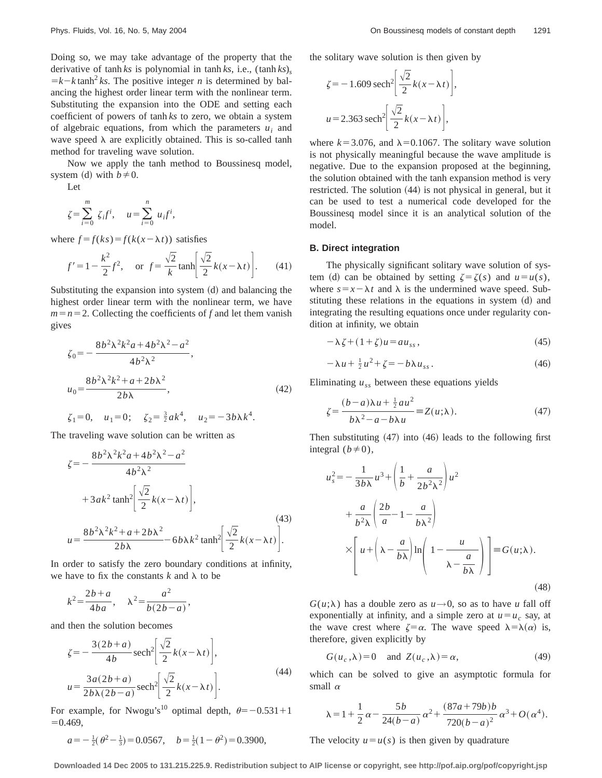Doing so, we may take advantage of the property that the derivative of tanh *ks* is polynomial in tanh *ks*, i.e.,  $(\tanh ks)$ ,  $=k-k \tanh^2 ks$ . The positive integer *n* is determined by balancing the highest order linear term with the nonlinear term. Substituting the expansion into the ODE and setting each coefficient of powers of tanh *ks* to zero, we obtain a system of algebraic equations, from which the parameters  $u_i$  and wave speed  $\lambda$  are explicitly obtained. This is so-called tanh method for traveling wave solution.

Now we apply the tanh method to Boussinesq model, system (d) with  $b \neq 0$ .

Let

$$
\zeta = \sum_{i=0}^{m} \zeta_i f^i, \quad u = \sum_{i=0}^{n} u_i f^i,
$$

where  $f = f(ks) = f(k(x - \lambda t))$  satisfies

$$
f' = 1 - \frac{k^2}{2}f^2
$$
, or  $f = \frac{\sqrt{2}}{k}\tanh\left[\frac{\sqrt{2}}{2}k(x - \lambda t)\right]$ . (41)

Substituting the expansion into system  $(d)$  and balancing the highest order linear term with the nonlinear term, we have  $m=n=2$ . Collecting the coefficients of *f* and let them vanish gives

$$
\zeta_0 = -\frac{8b^2\lambda^2k^2a + 4b^2\lambda^2 - a^2}{4b^2\lambda^2},
$$
  
\n
$$
u_0 = \frac{8b^2\lambda^2k^2 + a + 2b\lambda^2}{2b\lambda},
$$
\n(42)

$$
\zeta_1=0
$$
,  $u_1=0$ ;  $\zeta_2=\frac{3}{2}ak^4$ ,  $u_2=-3b\lambda k^4$ .

The traveling wave solution can be written as

$$
\zeta = -\frac{8b^2\lambda^2 k^2 a + 4b^2\lambda^2 - a^2}{4b^2\lambda^2} \n+3ak^2 \tanh^2 \left[ \frac{\sqrt{2}}{2} k(x - \lambda t) \right],
$$
\n
$$
u = \frac{8b^2\lambda^2 k^2 + a + 2b\lambda^2}{2b\lambda} - 6b\lambda k^2 \tanh^2 \left[ \frac{\sqrt{2}}{2} k(x - \lambda t) \right].
$$
\n(43)

In order to satisfy the zero boundary conditions at infinity, we have to fix the constants  $k$  and  $\lambda$  to be

$$
k^2 = \frac{2b+a}{4ba}, \quad \lambda^2 = \frac{a^2}{b(2b-a)},
$$

and then the solution becomes

$$
\zeta = -\frac{3(2b+a)}{4b} \operatorname{sech}^{2}\left[\frac{\sqrt{2}}{2}k(x-\lambda t)\right],
$$
  
\n
$$
u = \frac{3a(2b+a)}{2b\lambda(2b-a)} \operatorname{sech}^{2}\left[\frac{\sqrt{2}}{2}k(x-\lambda t)\right].
$$
\n(44)

For example, for Nwogu's<sup>10</sup> optimal depth,  $\theta = -0.531 + 1$  $=0.469,$ 

$$
a = -\frac{1}{2}(\theta^2 - \frac{1}{3}) = 0.0567
$$
,  $b = \frac{1}{2}(1 - \theta^2) = 0.3900$ ,

the solitary wave solution is then given by

$$
\zeta = -1.609 \operatorname{sech}^2 \left[ \frac{\sqrt{2}}{2} k(x - \lambda t) \right],
$$
  
 
$$
u = 2.363 \operatorname{sech}^2 \left[ \frac{\sqrt{2}}{2} k(x - \lambda t) \right],
$$

where  $k=3.076$ , and  $\lambda=0.1067$ . The solitary wave solution is not physically meaningful because the wave amplitude is negative. Due to the expansion proposed at the beginning, the solution obtained with the tanh expansion method is very restricted. The solution  $(44)$  is not physical in general, but it can be used to test a numerical code developed for the Boussinesq model since it is an analytical solution of the model.

#### **B. Direct integration**

The physically significant solitary wave solution of system (d) can be obtained by setting  $\zeta = \zeta(s)$  and  $u = u(s)$ , where  $s = x - \lambda t$  and  $\lambda$  is the undermined wave speed. Substituting these relations in the equations in system  $(d)$  and integrating the resulting equations once under regularity condition at infinity, we obtain

$$
-\lambda \zeta + (1+\zeta)u = au_{ss},\tag{45}
$$

$$
-\lambda u + \frac{1}{2}u^2 + \zeta = -b\lambda u_{ss}.
$$
 (46)

Eliminating  $u_{ss}$  between these equations yields

$$
\zeta = \frac{(b-a)\lambda u + \frac{1}{2}au^2}{b\lambda^2 - a - b\lambda u} \equiv Z(u;\lambda). \tag{47}
$$

Then substituting  $(47)$  into  $(46)$  leads to the following first integral  $(b \neq 0)$ ,

$$
u_s^2 = -\frac{1}{3b\lambda}u^3 + \left(\frac{1}{b} + \frac{a}{2b^2\lambda^2}\right)u^2
$$
  
+ 
$$
\frac{a}{b^2\lambda}\left(\frac{2b}{a} - 1 - \frac{a}{b\lambda^2}\right)
$$
  

$$
\times \left[u + \left(\lambda - \frac{a}{b\lambda}\right)\ln\left(1 - \frac{u}{\lambda - \frac{a}{b\lambda}}\right)\right] \equiv G(u;\lambda).
$$
 (48)

 $G(u;\lambda)$  has a double zero as  $u\rightarrow 0$ , so as to have *u* fall off exponentially at infinity, and a simple zero at  $u = u_c$  say, at the wave crest where  $\zeta = \alpha$ . The wave speed  $\lambda = \lambda(\alpha)$  is, therefore, given explicitly by

$$
G(uc, \lambda) = 0 \quad \text{and} \quad Z(uc, \lambda) = \alpha,
$$
 (49)

which can be solved to give an asymptotic formula for small  $\alpha$ 

$$
\lambda = 1 + \frac{1}{2} \alpha - \frac{5b}{24(b-a)} \alpha^{2} + \frac{(87a + 79b)b}{720(b-a)^{2}} \alpha^{3} + O(\alpha^{4}).
$$

The velocity  $u=u(s)$  is then given by quadrature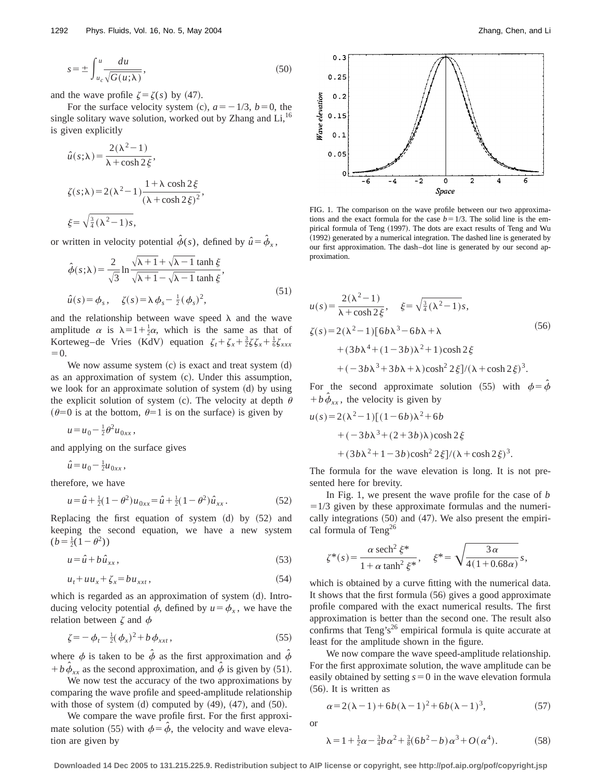$$
s = \pm \int_{u_c}^{u} \frac{du}{\sqrt{G(u;\lambda)}},\tag{50}
$$

and the wave profile  $\zeta = \zeta(s)$  by (47).

For the surface velocity system (c),  $a = -1/3$ ,  $b = 0$ , the single solitary wave solution, worked out by Zhang and  $Li$ ,<sup>16</sup> is given explicitly

$$
\hat{u}(s; \lambda) = \frac{2(\lambda^2 - 1)}{\lambda + \cosh 2\xi},
$$
  

$$
\zeta(s; \lambda) = 2(\lambda^2 - 1) \frac{1 + \lambda \cosh 2\xi}{(\lambda + \cosh 2\xi)^2},
$$
  

$$
\xi = \sqrt{\frac{3}{4}(\lambda^2 - 1)s},
$$

or written in velocity potential  $\hat{\phi}(s)$ , defined by  $\hat{u} = \hat{\phi}_x$ ,

$$
\hat{\phi}(s;\lambda) = \frac{2}{\sqrt{3}} \ln \frac{\sqrt{\lambda+1} + \sqrt{\lambda-1} \tanh \xi}{\sqrt{\lambda+1} - \sqrt{\lambda-1} \tanh \xi},
$$
\n
$$
\hat{u}(s) = \phi_s, \quad \zeta(s) = \lambda \phi_s - \frac{1}{2} (\phi_s)^2,
$$
\n(51)

and the relationship between wave speed  $\lambda$  and the wave amplitude  $\alpha$  is  $\lambda=1+\frac{1}{2}\alpha$ , which is the same as that of Korteweg–de Vries (KdV) equation  $\zeta_t + \zeta_x + \frac{3}{2}\zeta\zeta_x + \frac{1}{6}\zeta_{xxx}$  $=0.$ 

We now assume system  $(c)$  is exact and treat system  $(d)$ as an approximation of system  $(c)$ . Under this assumption, we look for an approximate solution of system  $(d)$  by using the explicit solution of system (c). The velocity at depth  $\theta$  $(\theta=0$  is at the bottom,  $\theta=1$  is on the surface) is given by

$$
u = u_0 - \frac{1}{2} \theta^2 u_{0xx},
$$

and applying on the surface gives

$$
\hat{u} = u_0 - \frac{1}{2}u_{0xx},
$$

therefore, we have

$$
u = \hat{u} + \frac{1}{2}(1 - \theta^2)u_{0xx} = \hat{u} + \frac{1}{2}(1 - \theta^2)\hat{u}_{xx}.
$$
 (52)

Replacing the first equation of system  $(d)$  by  $(52)$  and keeping the second equation, we have a new system  $(b = \frac{1}{2}(1 - \theta^2))$ 

$$
u = \hat{u} + b\,\hat{u}_{xx},\tag{53}
$$

$$
u_t + uu_x + \zeta_x = bu_{xxt},\tag{54}
$$

which is regarded as an approximation of system (d). Introducing velocity potential  $\phi$ , defined by  $u = \phi_x$ , we have the relation between  $\zeta$  and  $\phi$ 

$$
\zeta = -\phi_t - \frac{1}{2}(\phi_x)^2 + b\,\phi_{xxt},\tag{55}
$$

where  $\phi$  is taken to be  $\hat{\phi}$  as the first approximation and  $\hat{\phi}$  $+ b \phi_{xx}$  as the second approximation, and  $\dot{\phi}$  is given by (51).

We now test the accuracy of the two approximations by comparing the wave profile and speed-amplitude relationship with those of system  $(d)$  computed by  $(49)$ ,  $(47)$ , and  $(50)$ .

We compare the wave profile first. For the first approximate solution (55) with  $\phi = \hat{\phi}$ , the velocity and wave elevation are given by



FIG. 1. The comparison on the wave profile between our two approximations and the exact formula for the case  $b=1/3$ . The solid line is the empirical formula of Teng (1997). The dots are exact results of Teng and Wu (1992) generated by a numerical integration. The dashed line is generated by our first approximation. The dash–dot line is generated by our second approximation.

$$
u(s) = \frac{2(\lambda^2 - 1)}{\lambda + \cosh 2\xi}, \quad \xi = \sqrt{\frac{3}{4}(\lambda^2 - 1)}s,
$$
  

$$
\zeta(s) = 2(\lambda^2 - 1)[6b\lambda^3 - 6b\lambda + \lambda
$$
  

$$
+ (3b\lambda^4 + (1 - 3b)\lambda^2 + 1)\cosh 2\xi
$$
  

$$
+ (-3b\lambda^3 + 3b\lambda + \lambda)\cosh^2 2\xi/(\lambda + \cosh 2\xi)^3.
$$
  
(56)

For the second approximate solution (55) with  $\phi = \phi$  $+ b \phi_{xx}$ , the velocity is given by

$$
u(s) = 2(\lambda^2 - 1)[(1 - 6b)\lambda^2 + 6b + (-3b\lambda^3 + (2 + 3b)\lambda)\cosh 2\xi + (3b\lambda^2 + 1 - 3b)\cosh^2 2\xi]/(\lambda + \cosh 2\xi)^3.
$$

The formula for the wave elevation is long. It is not presented here for brevity.

In Fig. 1, we present the wave profile for the case of *b*  $=1/3$  given by these approximate formulas and the numerically integrations  $(50)$  and  $(47)$ . We also present the empirical formula of  $Teng^{26}$ 

$$
\zeta^*(s) = \frac{\alpha \text{ sech}^2 \xi^*}{1 + \alpha \tanh^2 \xi^*}, \quad \xi^* = \sqrt{\frac{3\alpha}{4(1 + 0.68\alpha)}}s,
$$

which is obtained by a curve fitting with the numerical data. It shows that the first formula  $(56)$  gives a good approximate profile compared with the exact numerical results. The first approximation is better than the second one. The result also confirms that Teng's<sup>26</sup> empirical formula is quite accurate at least for the amplitude shown in the figure.

We now compare the wave speed-amplitude relationship. For the first approximate solution, the wave amplitude can be easily obtained by setting  $s=0$  in the wave elevation formula  $(56)$ . It is written as

$$
\alpha = 2(\lambda - 1) + 6b(\lambda - 1)^2 + 6b(\lambda - 1)^3,\tag{57}
$$

or

$$
\lambda = 1 + \frac{1}{2}\alpha - \frac{3}{4}b\,\alpha^2 + \frac{3}{8}(6b^2 - b)\,\alpha^3 + O(\,\alpha^4). \tag{58}
$$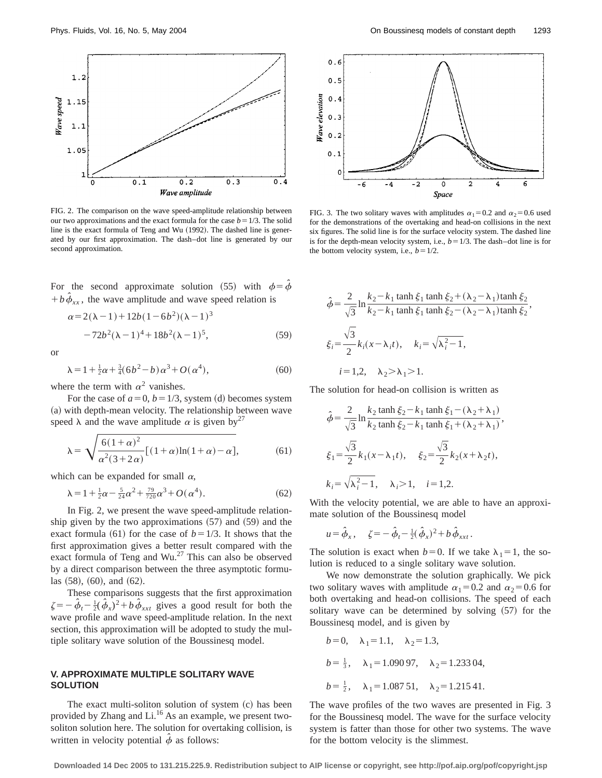

FIG. 2. The comparison on the wave speed-amplitude relationship between our two approximations and the exact formula for the case  $b=1/3$ . The solid line is the exact formula of Teng and Wu  $(1992)$ . The dashed line is generated by our first approximation. The dash–dot line is generated by our second approximation.

For the second approximate solution (55) with  $\phi = \hat{\phi}$  $+ b \hat{\phi}_{xx}$ , the wave amplitude and wave speed relation is

$$
\alpha = 2(\lambda - 1) + 12b(1 - 6b^2)(\lambda - 1)^3
$$
  
-72b<sup>2</sup>(\lambda - 1)<sup>4</sup> + 18b<sup>2</sup>(\lambda - 1)<sup>5</sup>, (59)

or

$$
\lambda = 1 + \frac{1}{2}\alpha + \frac{3}{4}(6b^2 - b)\alpha^3 + O(\alpha^4),
$$
\n(60)

where the term with  $\alpha^2$  vanishes.

For the case of  $a=0$ ,  $b=1/3$ , system (d) becomes system (a) with depth-mean velocity. The relationship between wave speed  $\lambda$  and the wave amplitude  $\alpha$  is given by<sup>27</sup>

$$
\lambda = \sqrt{\frac{6(1+\alpha)^2}{\alpha^2(3+2\alpha)}[(1+\alpha)\ln(1+\alpha)-\alpha]},
$$
\n(61)

which can be expanded for small  $\alpha$ ,

$$
\lambda = 1 + \frac{1}{2}\alpha - \frac{5}{24}\alpha^2 + \frac{79}{720}\alpha^3 + O(\alpha^4). \tag{62}
$$

In Fig. 2, we present the wave speed-amplitude relationship given by the two approximations  $(57)$  and  $(59)$  and the exact formula  $(61)$  for the case of  $b=1/3$ . It shows that the first approximation gives a better result compared with the exact formula of Teng and Wu.<sup>27</sup> This can also be observed by a direct comparison between the three asymptotic formu- $\text{las } (58), (60), \text{ and } (62).$ 

These comparisons suggests that the first approximation  $\zeta = -\hat{\phi}_t - \frac{1}{2}(\hat{\phi}_x)^2 + b\hat{\phi}_{xxt}$  gives a good result for both the wave profile and wave speed-amplitude relation. In the next section, this approximation will be adopted to study the multiple solitary wave solution of the Boussinesq model.

# **V. APPROXIMATE MULTIPLE SOLITARY WAVE SOLUTION**

The exact multi-soliton solution of system  $(c)$  has been provided by Zhang and Li.<sup>16</sup> As an example, we present twosoliton solution here. The solution for overtaking collision, is written in velocity potential  $\phi$  as follows:



FIG. 3. The two solitary waves with amplitudes  $\alpha_1=0.2$  and  $\alpha_2=0.6$  used for the demonstrations of the overtaking and head-on collisions in the next six figures. The solid line is for the surface velocity system. The dashed line is for the depth-mean velocity system, i.e.,  $b=1/3$ . The dash–dot line is for the bottom velocity system, i.e.,  $b=1/2$ .

$$
\hat{\phi} = \frac{2}{\sqrt{3}} \ln \frac{k_2 - k_1 \tanh \xi_1 \tanh \xi_2 + (\lambda_2 - \lambda_1) \tanh \xi_2}{k_2 - k_1 \tanh \xi_1 \tanh \xi_2 - (\lambda_2 - \lambda_1) \tanh \xi_2},
$$
  

$$
\xi_i = \frac{\sqrt{3}}{2} k_i (x - \lambda_i t), \quad k_i = \sqrt{\lambda_i^2 - 1},
$$
  
 $i = 1, 2, \quad \lambda_2 > \lambda_1 > 1.$ 

The solution for head-on collision is written as

$$
\hat{\phi} = \frac{2}{\sqrt{3}} \ln \frac{k_2 \tanh \xi_2 - k_1 \tanh \xi_1 - (\lambda_2 + \lambda_1)}{k_2 \tanh \xi_2 - k_1 \tanh \xi_1 + (\lambda_2 + \lambda_1)},
$$
  
\n
$$
\xi_1 = \frac{\sqrt{3}}{2} k_1 (x - \lambda_1 t), \quad \xi_2 = \frac{\sqrt{3}}{2} k_2 (x + \lambda_2 t),
$$
  
\n
$$
k_i = \sqrt{\lambda_i^2 - 1}, \quad \lambda_i > 1, \quad i = 1, 2.
$$

With the velocity potential, we are able to have an approximate solution of the Boussinesq model

$$
u = \hat{\phi}_x, \quad \zeta = -\hat{\phi}_t - \frac{1}{2}(\hat{\phi}_x)^2 + b\hat{\phi}_{xxt}.
$$

The solution is exact when  $b=0$ . If we take  $\lambda_1=1$ , the solution is reduced to a single solitary wave solution.

We now demonstrate the solution graphically. We pick two solitary waves with amplitude  $\alpha_1=0.2$  and  $\alpha_2=0.6$  for both overtaking and head-on collisions. The speed of each solitary wave can be determined by solving  $(57)$  for the Boussinesq model, and is given by

$$
b=0
$$
,  $\lambda_1 = 1.1$ ,  $\lambda_2 = 1.3$ ,  
\n $b = \frac{1}{3}$ ,  $\lambda_1 = 1.09097$ ,  $\lambda_2 = 1.23304$ ,  
\n $b = \frac{1}{2}$ ,  $\lambda_1 = 1.08751$ ,  $\lambda_2 = 1.21541$ .

The wave profiles of the two waves are presented in Fig. 3 for the Boussinesq model. The wave for the surface velocity system is fatter than those for other two systems. The wave for the bottom velocity is the slimmest.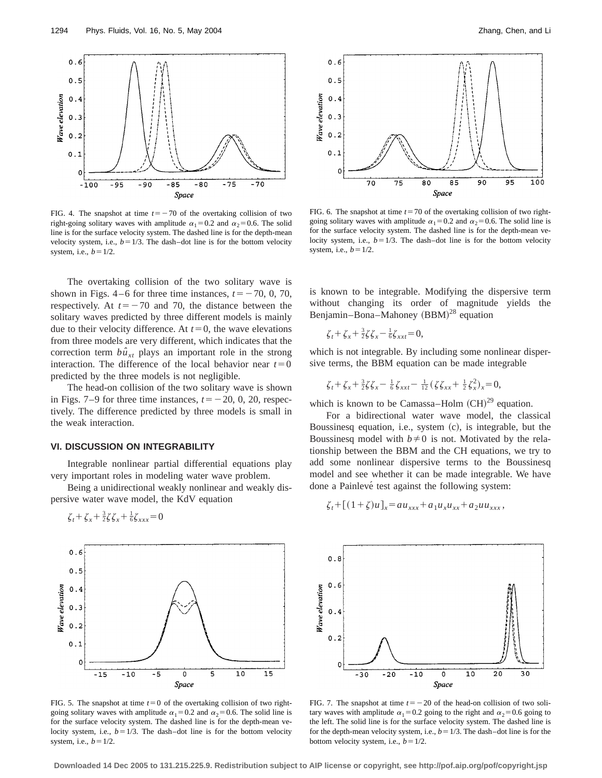

FIG. 4. The snapshot at time  $t=-70$  of the overtaking collision of two right-going solitary waves with amplitude  $\alpha_1=0.2$  and  $\alpha_2=0.6$ . The solid line is for the surface velocity system. The dashed line is for the depth-mean velocity system, i.e.,  $b=1/3$ . The dash–dot line is for the bottom velocity system, i.e.,  $b=1/2$ .

The overtaking collision of the two solitary wave is shown in Figs.  $4-6$  for three time instances,  $t=-70, 0, 70$ , respectively. At  $t=-70$  and 70, the distance between the solitary waves predicted by three different models is mainly due to their velocity difference. At  $t=0$ , the wave elevations from three models are very different, which indicates that the correction term  $b\hat{u}_{xt}$  plays an important role in the strong interaction. The difference of the local behavior near  $t=0$ predicted by the three models is not negligible.

The head-on collision of the two solitary wave is shown in Figs. 7–9 for three time instances,  $t=-20, 0, 20$ , respectively. The difference predicted by three models is small in the weak interaction.

#### **VI. DISCUSSION ON INTEGRABILITY**

Integrable nonlinear partial differential equations play very important roles in modeling water wave problem.

Being a unidirectional weakly nonlinear and weakly dispersive water wave model, the KdV equation

$$
\zeta_t + \zeta_x + \tfrac{3}{2}\zeta\zeta_x + \tfrac{1}{6}\zeta_{xxx} = 0
$$



FIG. 5. The snapshot at time  $t=0$  of the overtaking collision of two rightgoing solitary waves with amplitude  $\alpha_1=0.2$  and  $\alpha_2=0.6$ . The solid line is for the surface velocity system. The dashed line is for the depth-mean velocity system, i.e.,  $b=1/3$ . The dash–dot line is for the bottom velocity system, i.e.,  $b = 1/2$ .



FIG. 6. The snapshot at time  $t=70$  of the overtaking collision of two rightgoing solitary waves with amplitude  $\alpha_1=0.2$  and  $\alpha_2=0.6$ . The solid line is for the surface velocity system. The dashed line is for the depth-mean velocity system, i.e.,  $b=1/3$ . The dash–dot line is for the bottom velocity system, i.e.,  $b = 1/2$ .

is known to be integrable. Modifying the dispersive term without changing its order of magnitude yields the Benjamin–Bona–Mahoney  $(BBM)^{28}$  equation

$$
\zeta_t + \zeta_x + \tfrac{3}{2}\zeta\zeta_x - \tfrac{1}{6}\zeta_{xxt} = 0,
$$

which is not integrable. By including some nonlinear dispersive terms, the BBM equation can be made integrable

$$
\zeta_t + \zeta_x + \frac{3}{2}\zeta\zeta_x - \frac{1}{6}\zeta_{xxt} - \frac{1}{12}(\zeta\zeta_{xx} + \frac{1}{2}\zeta_x^2)_x = 0,
$$

which is known to be Camassa–Holm  $(CH)^{29}$  equation.

For a bidirectional water wave model, the classical Boussinesq equation, i.e., system  $(c)$ , is integrable, but the Boussinesq model with  $b \neq 0$  is not. Motivated by the relationship between the BBM and the CH equations, we try to add some nonlinear dispersive terms to the Boussinesq model and see whether it can be made integrable. We have done a Painlevé test against the following system:

$$
\zeta_t + [(1+\zeta)u]_x = au_{xxx} + a_1u_xu_{xx} + a_2uu_{xxx},
$$



FIG. 7. The snapshot at time  $t=-20$  of the head-on collision of two solitary waves with amplitude  $\alpha_1=0.2$  going to the right and  $\alpha_2=0.6$  going to the left. The solid line is for the surface velocity system. The dashed line is for the depth-mean velocity system, i.e.,  $b = 1/3$ . The dash–dot line is for the bottom velocity system, i.e.,  $b=1/2$ .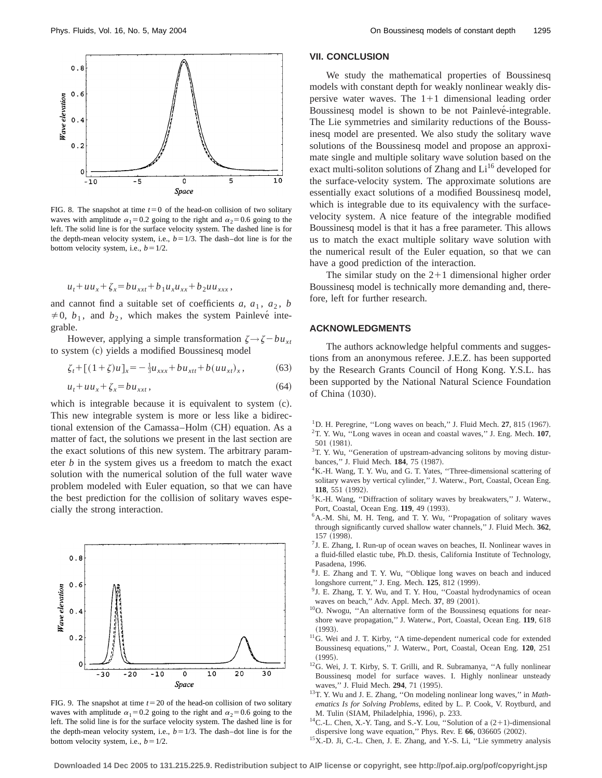

FIG. 8. The snapshot at time  $t=0$  of the head-on collision of two solitary waves with amplitude  $\alpha_1=0.2$  going to the right and  $\alpha_2=0.6$  going to the left. The solid line is for the surface velocity system. The dashed line is for the depth-mean velocity system, i.e.,  $b = 1/3$ . The dash–dot line is for the bottom velocity system, i.e.,  $b=1/2$ .

$$
u_t + uu_x + \zeta_x = bu_{xxt} + b_1 u_x u_{xx} + b_2 u u_{xxx},
$$

and cannot find a suitable set of coefficients  $a$ ,  $a_1$ ,  $a_2$ ,  $b$  $\neq$  0,  $b_1$ , and  $b_2$ , which makes the system Painlevé integrable.

However, applying a simple transformation  $\zeta \rightarrow \zeta - bu_{xt}$ to system (c) yields a modified Boussinesq model

$$
\zeta_t + [(1+\zeta)u]_x = -\frac{1}{3}u_{xxx} + bu_{xtt} + b(uu_{xt})_x, \qquad (63)
$$

$$
u_t + uu_x + \zeta_x = bu_{xxt},\tag{64}
$$

which is integrable because it is equivalent to system  $(c)$ . This new integrable system is more or less like a bidirectional extension of the Camassa–Holm (CH) equation. As a matter of fact, the solutions we present in the last section are the exact solutions of this new system. The arbitrary parameter *b* in the system gives us a freedom to match the exact solution with the numerical solution of the full water wave problem modeled with Euler equation, so that we can have the best prediction for the collision of solitary waves especially the strong interaction.



FIG. 9. The snapshot at time  $t=20$  of the head-on collision of two solitary waves with amplitude  $\alpha_1=0.2$  going to the right and  $\alpha_2=0.6$  going to the left. The solid line is for the surface velocity system. The dashed line is for the depth-mean velocity system, i.e.,  $b=1/3$ . The dash–dot line is for the bottom velocity system, i.e.,  $b=1/2$ .

## **VII. CONCLUSION**

We study the mathematical properties of Boussinesq models with constant depth for weakly nonlinear weakly dispersive water waves. The  $1+1$  dimensional leading order Boussinesq model is shown to be not Painlevé-integrable. The Lie symmetries and similarity reductions of the Boussinesq model are presented. We also study the solitary wave solutions of the Boussinesq model and propose an approximate single and multiple solitary wave solution based on the exact multi-soliton solutions of Zhang and  $Li<sup>16</sup>$  developed for the surface-velocity system. The approximate solutions are essentially exact solutions of a modified Boussinesq model, which is integrable due to its equivalency with the surfacevelocity system. A nice feature of the integrable modified Boussinesq model is that it has a free parameter. This allows us to match the exact multiple solitary wave solution with the numerical result of the Euler equation, so that we can have a good prediction of the interaction.

The similar study on the  $2+1$  dimensional higher order Boussinesq model is technically more demanding and, therefore, left for further research.

# **ACKNOWLEDGMENTS**

The authors acknowledge helpful comments and suggestions from an anonymous referee. J.E.Z. has been supported by the Research Grants Council of Hong Kong. Y.S.L. has been supported by the National Natural Science Foundation of China (1030).

- $1$ D. H. Peregrine, "Long waves on beach," J. Fluid Mech. 27, 815  $(1967)$ . 2T. Y. Wu, ''Long waves in ocean and coastal waves,'' J. Eng. Mech. **107**, 501 (1981).
- <sup>3</sup>T. Y. Wu, "Generation of upstream-advancing solitons by moving disturbances," J. Fluid Mech. 184, 75 (1987).
- <sup>4</sup>K.-H. Wang, T. Y. Wu, and G. T. Yates, "Three-dimensional scattering of solitary waves by vertical cylinder,'' J. Waterw., Port, Coastal, Ocean Eng. **118**, 551 (1992).
- <sup>5</sup>K.-H. Wang, "Diffraction of solitary waves by breakwaters," J. Waterw., Port, Coastal, Ocean Eng. 119, 49 (1993).
- 6A.-M. Shi, M. H. Teng, and T. Y. Wu, ''Propagation of solitary waves through significantly curved shallow water channels,'' J. Fluid Mech. **362**, 157 (1998).
- $7$ J. E. Zhang, I. Run-up of ocean waves on beaches, II. Nonlinear waves in a fluid-filled elastic tube, Ph.D. thesis, California Institute of Technology, Pasadena, 1996.
- 8J. E. Zhang and T. Y. Wu, ''Oblique long waves on beach and induced longshore current," J. Eng. Mech. 125, 812 (1999).
- <sup>9</sup>J. E. Zhang, T. Y. Wu, and T. Y. Hou, "Coastal hydrodynamics of ocean waves on beach," Adv. Appl. Mech. 37, 89 (2001).
- <sup>10</sup>O. Nwogu, "An alternative form of the Boussinesq equations for nearshore wave propagation,'' J. Waterw., Port, Coastal, Ocean Eng. **119**, 618  $(1993).$
- <sup>11</sup>G. Wei and J. T. Kirby, "A time-dependent numerical code for extended Boussinesq equations,'' J. Waterw., Port, Coastal, Ocean Eng. **120**, 251  $(1995)$ .
- <sup>12</sup>G. Wei, J. T. Kirby, S. T. Grilli, and R. Subramanya, "A fully nonlinear Boussinesq model for surface waves. I. Highly nonlinear unsteady waves," J. Fluid Mech. 294, 71 (1995).
- <sup>13</sup>T. Y. Wu and J. E. Zhang, "On modeling nonlinear long waves," in *Mathematics Is for Solving Problems*, edited by L. P. Cook, V. Roytburd, and M. Tulin (SIAM, Philadelphia, 1996), p. 233.
- <sup>14</sup>C.-L. Chen, X.-Y. Tang, and S.-Y. Lou, "Solution of a  $(2+1)$ -dimensional dispersive long wave equation," Phys. Rev. E 66, 036605 (2002).
- <sup>15</sup>X.-D. Ji, C.-L. Chen, J. E. Zhang, and Y.-S. Li, "Lie symmetry analysis